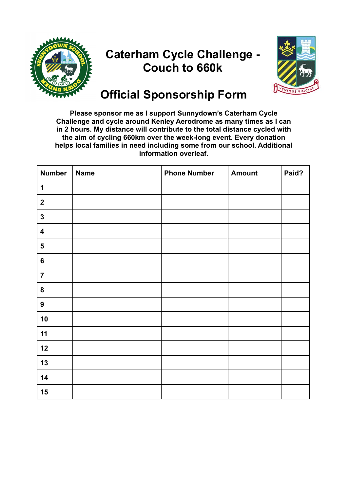

## **Caterham Cycle Challenge - Couch to 660k**



## **Official Sponsorship Form**

**Please sponsor me as I support Sunnydown's Caterham Cycle Challenge and cycle around Kenley Aerodrome as many times as I can in 2 hours. My distance will contribute to the total distance cycled with the aim of cycling 660km over the week-long event. Every donation helps local families in need including some from our school. Additional information overleaf.**

| <b>Number</b>           | <b>Name</b> | <b>Phone Number</b> | <b>Amount</b> | Paid? |
|-------------------------|-------------|---------------------|---------------|-------|
| 1                       |             |                     |               |       |
| $\mathbf{2}$            |             |                     |               |       |
| $\mathbf{3}$            |             |                     |               |       |
| $\overline{\mathbf{4}}$ |             |                     |               |       |
| $\overline{\mathbf{5}}$ |             |                     |               |       |
| $\bf 6$                 |             |                     |               |       |
| $\overline{7}$          |             |                     |               |       |
| ${\bf 8}$               |             |                     |               |       |
| $\boldsymbol{9}$        |             |                     |               |       |
| 10                      |             |                     |               |       |
| 11                      |             |                     |               |       |
| 12                      |             |                     |               |       |
| 13                      |             |                     |               |       |
| 14                      |             |                     |               |       |
| 15                      |             |                     |               |       |